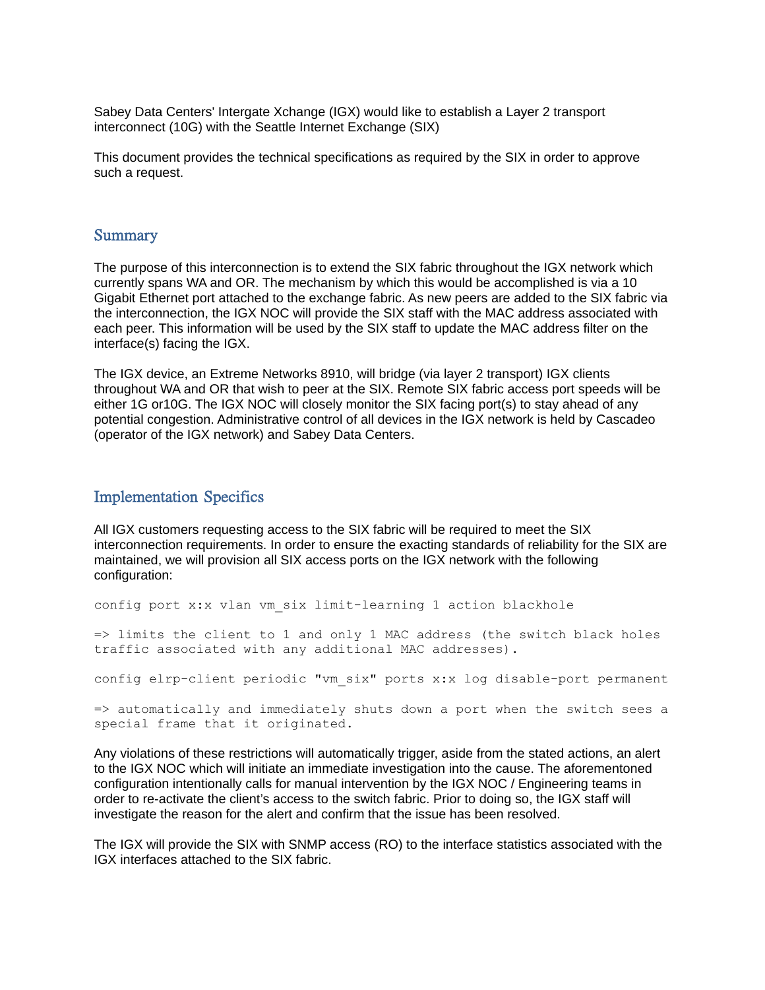Sabey Data Centers' Intergate Xchange (IGX) would like to establish a Layer 2 transport interconnect (10G) with the Seattle Internet Exchange (SIX)

This document provides the technical specifications as required by the SIX in order to approve such a request.

#### **Summary**

The purpose of this interconnection is to extend the SIX fabric throughout the IGX network which currently spans WA and OR. The mechanism by which this would be accomplished is via a 10 Gigabit Ethernet port attached to the exchange fabric. As new peers are added to the SIX fabric via the interconnection, the IGX NOC will provide the SIX staff with the MAC address associated with each peer. This information will be used by the SIX staff to update the MAC address filter on the interface(s) facing the IGX.

The IGX device, an Extreme Networks 8910, will bridge (via layer 2 transport) IGX clients throughout WA and OR that wish to peer at the SIX. Remote SIX fabric access port speeds will be either 1G or10G. The IGX NOC will closely monitor the SIX facing port(s) to stay ahead of any potential congestion. Administrative control of all devices in the IGX network is held by Cascadeo (operator of the IGX network) and Sabey Data Centers.

#### Implementation Specifics

All IGX customers requesting access to the SIX fabric will be required to meet the SIX interconnection requirements. In order to ensure the exacting standards of reliability for the SIX are maintained, we will provision all SIX access ports on the IGX network with the following configuration:

config port x:x vlan vm six limit-learning 1 action blackhole

=> limits the client to 1 and only 1 MAC address (the switch black holes traffic associated with any additional MAC addresses).

config elrp-client periodic "vm\_six" ports x:x log disable-port permanent

=> automatically and immediately shuts down a port when the switch sees a special frame that it originated.

Any violations of these restrictions will automatically trigger, aside from the stated actions, an alert to the IGX NOC which will initiate an immediate investigation into the cause. The aforementoned configuration intentionally calls for manual intervention by the IGX NOC / Engineering teams in order to re-activate the client's access to the switch fabric. Prior to doing so, the IGX staff will investigate the reason for the alert and confirm that the issue has been resolved.

The IGX will provide the SIX with SNMP access (RO) to the interface statistics associated with the IGX interfaces attached to the SIX fabric.